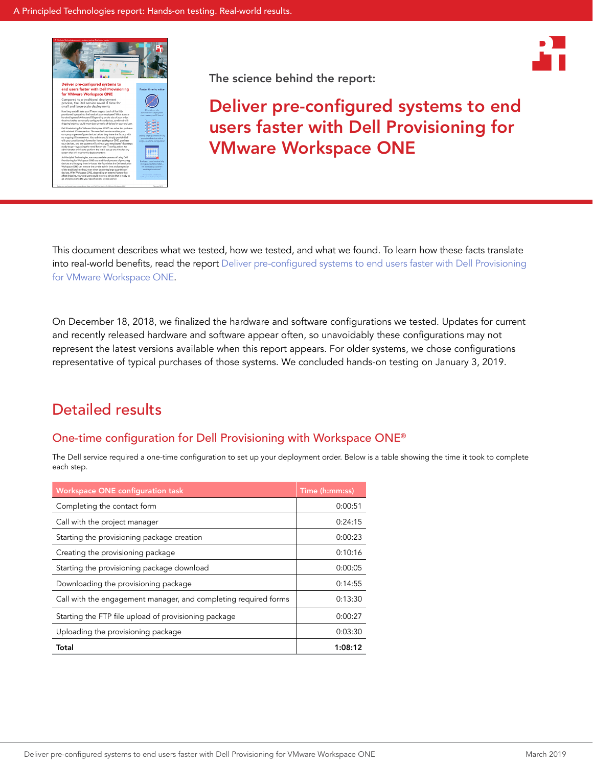





This document describes what we tested, how we tested, and what we found. To learn how these facts translate into real-world benefits, read the report [Deliver pre-configured systems to end users faster with Dell Provisioning](http://facts.pt/pnu3kh1)  [for VMware Workspace ONE](http://facts.pt/pnu3kh1).

On December 18, 2018, we finalized the hardware and software configurations we tested. Updates for current and recently released hardware and software appear often, so unavoidably these configurations may not represent the latest versions available when this report appears. For older systems, we chose configurations representative of typical purchases of those systems. We concluded hands-on testing on January 3, 2019.

## Detailed results

### One-time configuration for Dell Provisioning with Workspace ONE®

The Dell service required a one-time configuration to set up your deployment order. Below is a table showing the time it took to complete each step.

| <b>Workspace ONE configuration task</b>                         | Time (h:mm:ss) |
|-----------------------------------------------------------------|----------------|
| Completing the contact form                                     | 0:00:51        |
| Call with the project manager                                   | 0:24:15        |
| Starting the provisioning package creation                      | 0:00:23        |
| Creating the provisioning package                               | 0:10:16        |
| Starting the provisioning package download                      | 0:00:05        |
| Downloading the provisioning package                            | 0:14:55        |
| Call with the engagement manager, and completing required forms | 0:13:30        |
| Starting the FTP file upload of provisioning package            | 0:00:27        |
| Uploading the provisioning package                              | 0:03:30        |
| Total                                                           | 1:08:12        |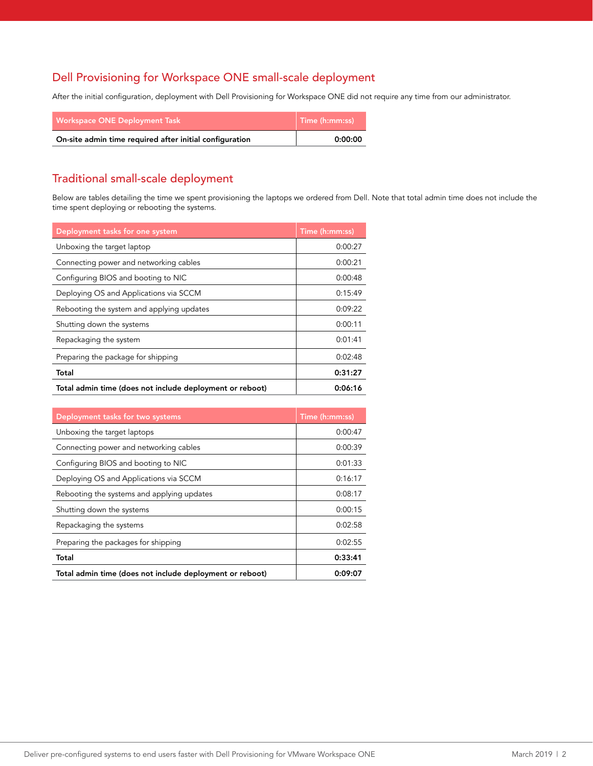### Dell Provisioning for Workspace ONE small-scale deployment

After the initial configuration, deployment with Dell Provisioning for Workspace ONE did not require any time from our administrator.

| <b>Workspace ONE Deployment Task</b>                    | $\mid$ Time (h:mm:ss) |  |
|---------------------------------------------------------|-----------------------|--|
| On-site admin time required after initial configuration | 0:00:00               |  |

### Traditional small-scale deployment

Below are tables detailing the time we spent provisioning the laptops we ordered from Dell. Note that total admin time does not include the time spent deploying or rebooting the systems.

| Deployment tasks for one system                          | Time (h:mm:ss) |
|----------------------------------------------------------|----------------|
| Unboxing the target laptop                               | 0:00:27        |
| Connecting power and networking cables                   | 0:00:21        |
| Configuring BIOS and booting to NIC                      | 0:00:48        |
| Deploying OS and Applications via SCCM                   | 0:15:49        |
| Rebooting the system and applying updates                | 0:09:22        |
| Shutting down the systems                                | 0:00:11        |
| Repackaging the system                                   | 0:01:41        |
| Preparing the package for shipping                       | 0:02:48        |
| Total                                                    | 0:31:27        |
| Total admin time (does not include deployment or reboot) | 0:06:16        |

| Deployment tasks for two systems                         | Time (h:mm:ss) |
|----------------------------------------------------------|----------------|
| Unboxing the target laptops                              | 0:00:47        |
| Connecting power and networking cables                   | 0:00:39        |
| Configuring BIOS and booting to NIC                      | 0:01:33        |
| Deploying OS and Applications via SCCM                   | 0:16:17        |
| Rebooting the systems and applying updates               | 0:08:17        |
| Shutting down the systems                                | 0:00:15        |
| Repackaging the systems                                  | 0:02:58        |
| Preparing the packages for shipping                      | 0:02:55        |
| Total                                                    | 0:33:41        |
| Total admin time (does not include deployment or reboot) | 0:09:07        |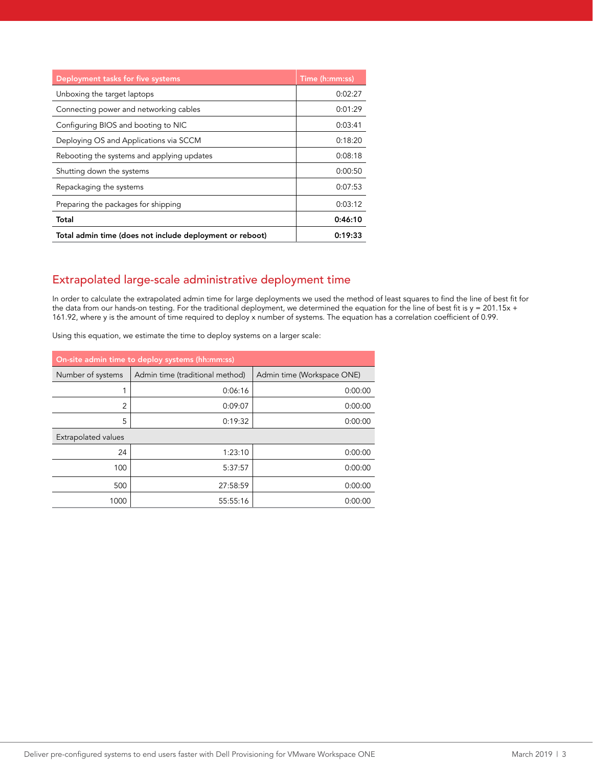| Deployment tasks for five systems                        | Time (h:mm:ss) |
|----------------------------------------------------------|----------------|
| Unboxing the target laptops                              | 0:02:27        |
| Connecting power and networking cables                   | 0:01:29        |
| Configuring BIOS and booting to NIC                      | 0:03:41        |
| Deploying OS and Applications via SCCM                   | 0:18:20        |
| Rebooting the systems and applying updates               | 0:08:18        |
| Shutting down the systems                                | 0:00:50        |
| Repackaging the systems                                  | 0:07:53        |
| Preparing the packages for shipping                      | 0:03:12        |
| Total                                                    | 0:46:10        |
| Total admin time (does not include deployment or reboot) | 0:19:33        |

### Extrapolated large-scale administrative deployment time

In order to calculate the extrapolated admin time for large deployments we used the method of least squares to find the line of best fit for the data from our hands-on testing. For the traditional deployment, we determined the equation for the line of best fit is y = 201.15x + 161.92, where y is the amount of time required to deploy x number of systems. The equation has a correlation coefficient of 0.99.

Using this equation, we estimate the time to deploy systems on a larger scale:

| On-site admin time to deploy systems (hh:mm:ss) |                                 |                            |  |
|-------------------------------------------------|---------------------------------|----------------------------|--|
| Number of systems                               | Admin time (traditional method) | Admin time (Workspace ONE) |  |
|                                                 | 0:06:16                         | 0:00:00                    |  |
| $\overline{2}$                                  | 0:09:07                         | 0:00:00                    |  |
| 5                                               | 0:19:32                         | 0:00:00                    |  |
| <b>Extrapolated values</b>                      |                                 |                            |  |
| 24                                              | 1:23:10                         | 0:00:00                    |  |
| 100                                             | 5:37:57                         | 0:00:00                    |  |
| 500                                             | 27:58:59                        | 0:00:00                    |  |
| 1000                                            | 55:55:16                        | 0:00:00                    |  |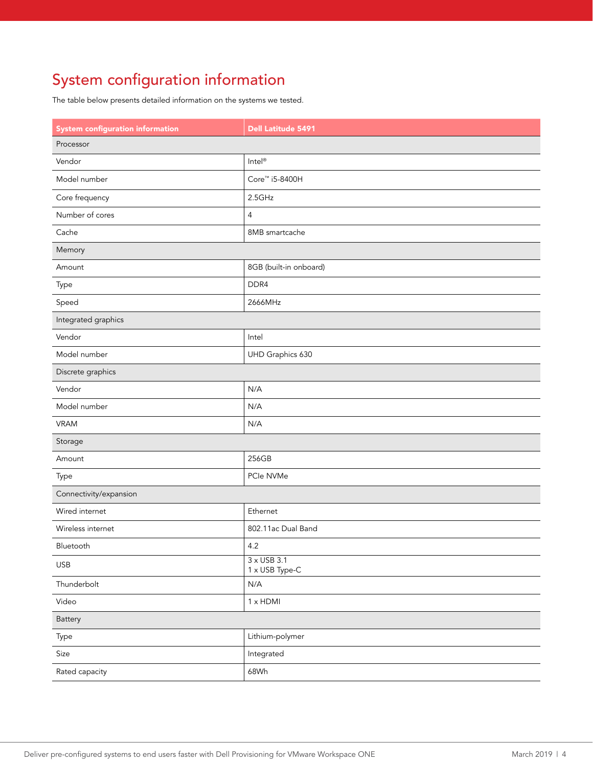# System configuration information

The table below presents detailed information on the systems we tested.

| <b>System configuration information</b> | <b>Dell Latitude 5491</b>            |  |  |
|-----------------------------------------|--------------------------------------|--|--|
| Processor                               |                                      |  |  |
| Vendor                                  | Intel®                               |  |  |
| Model number                            | Core™ i5-8400H                       |  |  |
| Core frequency                          | 2.5GHz                               |  |  |
| Number of cores                         | $\overline{4}$                       |  |  |
| Cache                                   | 8MB smartcache                       |  |  |
| Memory                                  |                                      |  |  |
| Amount                                  | 8GB (built-in onboard)               |  |  |
| Type                                    | DDR4                                 |  |  |
| Speed                                   | 2666MHz                              |  |  |
| Integrated graphics                     |                                      |  |  |
| Vendor                                  | Intel                                |  |  |
| Model number                            | UHD Graphics 630                     |  |  |
| Discrete graphics                       |                                      |  |  |
| Vendor                                  | N/A                                  |  |  |
| Model number                            | N/A                                  |  |  |
| <b>VRAM</b>                             | N/A                                  |  |  |
| Storage                                 |                                      |  |  |
| Amount                                  | 256GB                                |  |  |
| Type                                    | PCIe NVMe                            |  |  |
| Connectivity/expansion                  |                                      |  |  |
| Wired internet                          | Ethernet                             |  |  |
| Wireless internet                       | 802.11ac Dual Band                   |  |  |
| Bluetooth                               | 4.2                                  |  |  |
| <b>USB</b>                              | $3 \times$ USB 3.1<br>1 x USB Type-C |  |  |
| Thunderbolt                             | N/A                                  |  |  |
| Video                                   | 1 x HDMI                             |  |  |
| Battery                                 |                                      |  |  |
| Type                                    | Lithium-polymer                      |  |  |
| Size                                    | Integrated                           |  |  |
| Rated capacity                          | 68Wh                                 |  |  |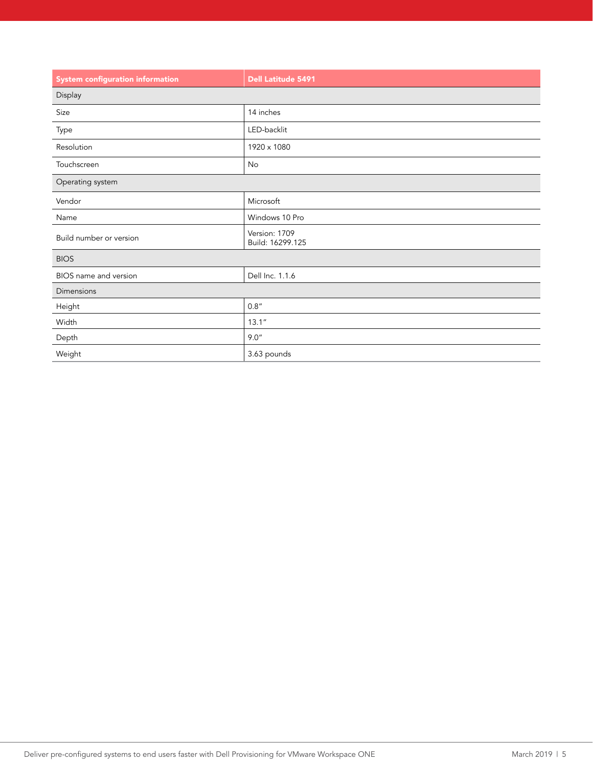| <b>System configuration information</b> | <b>Dell Latitude 5491</b>         |  |
|-----------------------------------------|-----------------------------------|--|
| Display                                 |                                   |  |
| Size                                    | 14 inches                         |  |
| Type                                    | LED-backlit                       |  |
| Resolution                              | 1920 x 1080                       |  |
| Touchscreen                             | No                                |  |
| Operating system                        |                                   |  |
| Vendor                                  | Microsoft                         |  |
| Name                                    | Windows 10 Pro                    |  |
| Build number or version                 | Version: 1709<br>Build: 16299.125 |  |
| <b>BIOS</b>                             |                                   |  |
| BIOS name and version                   | Dell Inc. 1.1.6                   |  |
| Dimensions                              |                                   |  |
| Height                                  | 0.8"                              |  |
| Width                                   | 13.1''                            |  |
| Depth                                   | 9.0"                              |  |
| Weight                                  | 3.63 pounds                       |  |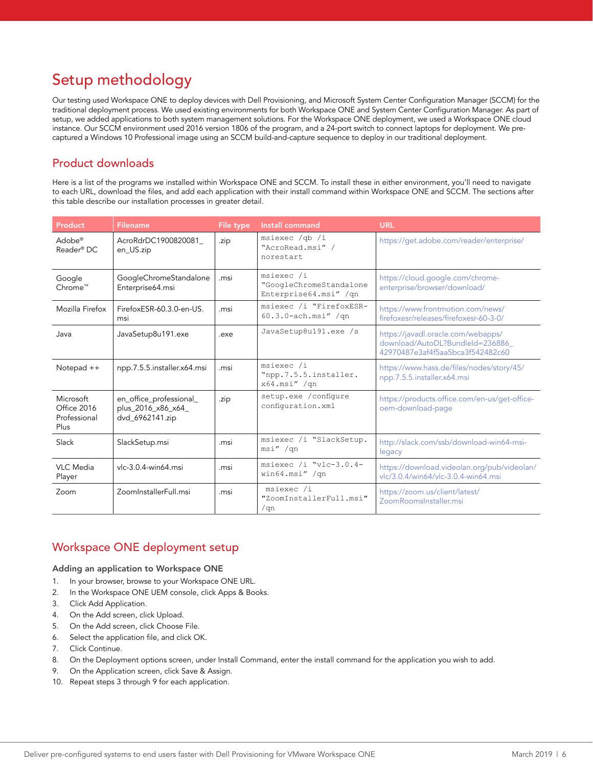# Setup methodology

Our testing used Workspace ONE to deploy devices with Dell Provisioning, and Microsoft System Center Configuration Manager (SCCM) for the traditional deployment process. We used existing environments for both Workspace ONE and System Center Configuration Manager. As part of setup, we added applications to both system management solutions. For the Workspace ONE deployment, we used a Workspace ONE cloud instance. Our SCCM environment used 2016 version 1806 of the program, and a 24-port switch to connect laptops for deployment. We precaptured a Windows 10 Professional image using an SCCM build-and-capture sequence to deploy in our traditional deployment.

### Product downloads

Here is a list of the programs we installed within Workspace ONE and SCCM. To install these in either environment, you'll need to navigate to each URL, download the files, and add each application with their install command within Workspace ONE and SCCM. The sections after this table describe our installation processes in greater detail.

| Product                                          | <b>Filename</b>                                                  | File type | Install command                                                | <b>URL</b>                                                                                                 |
|--------------------------------------------------|------------------------------------------------------------------|-----------|----------------------------------------------------------------|------------------------------------------------------------------------------------------------------------|
| Adobe <sup>®</sup><br>Reader <sup>®</sup> DC     | AcroRdrDC1900820081<br>en_US.zip                                 | .zip      | msiexec /qb /i<br>"AcroRead.msi" /<br>norestart                | https://get.adobe.com/reader/enterprise/                                                                   |
| Google<br>Chrome™                                | GoogleChromeStandalone<br>Enterprise64.msi                       | .msi      | msiexec /i<br>"GoogleChromeStandalone<br>Enterprise64.msi" /qn | https://cloud.google.com/chrome-<br>enterprise/browser/download/                                           |
| Mozilla Firefox                                  | FirefoxESR-60.3.0-en-US.<br>msi                                  | .msi      | msiexec /i "FirefoxESR-<br>$60.3.0$ -ach.msi" /qn              | https://www.frontmotion.com/news/<br>firefoxesr/releases/firefoxesr-60-3-0/                                |
| Java                                             | JavaSetup8u191.exe                                               | .exe      | JavaSetup8u191.exe /s                                          | https://javadl.oracle.com/webapps/<br>download/AutoDL?BundleId=236886_<br>42970487e3af4f5aa5bca3f542482c60 |
| Notepad $++$                                     | npp.7.5.5. installer.x64.msi                                     | .msi      | msiexec /i<br>"npp.7.5.5.installer.<br>$x64.msi''$ /qn         | https://www.hass.de/files/nodes/story/45/<br>npp.7.5.5.installer.x64.msi                                   |
| Microsoft<br>Office 2016<br>Professional<br>Plus | en_office_professional_<br>plus_2016_x86_x64_<br>dvd_6962141.zip | .zip      | setup.exe / configure<br>configuration.xml                     | https://products.office.com/en-us/get-office-<br>oem-download-page                                         |
| Slack                                            | SlackSetup.msi                                                   | .msi      | msiexec /i "SlackSetup.<br>msi" /qn                            | http://slack.com/ssb/download-win64-msi-<br>legacy                                                         |
| VLC Media<br>Player                              | vlc-3.0.4-win64.msi                                              | .msi      | msiexec /i "vlc-3.0.4-<br>win64.msi" /qn                       | https://download.videolan.org/pub/videolan/<br>vlc/3.0.4/win64/ylc-3.0.4-win64.msi                         |
| Zoom                                             | ZoomInstallerFull.msi                                            | .msi      | msiexec /i<br>"ZoomInstallerFull.msi"<br>/qn                   | https://zoom.us/client/latest/<br>ZoomRoomsInstaller.msi                                                   |

### Workspace ONE deployment setup

#### Adding an application to Workspace ONE

- 1. In your browser, browse to your Workspace ONE URL.
- 2. In the Workspace ONE UEM console, click Apps & Books.
- 3. Click Add Application.
- 4. On the Add screen, click Upload.
- 5. On the Add screen, click Choose File.
- 6. Select the application file, and click OK.
- 7. Click Continue.
- 8. On the Deployment options screen, under Install Command, enter the install command for the application you wish to add.
- 9. On the Application screen, click Save & Assign.
- 10. Repeat steps 3 through 9 for each application.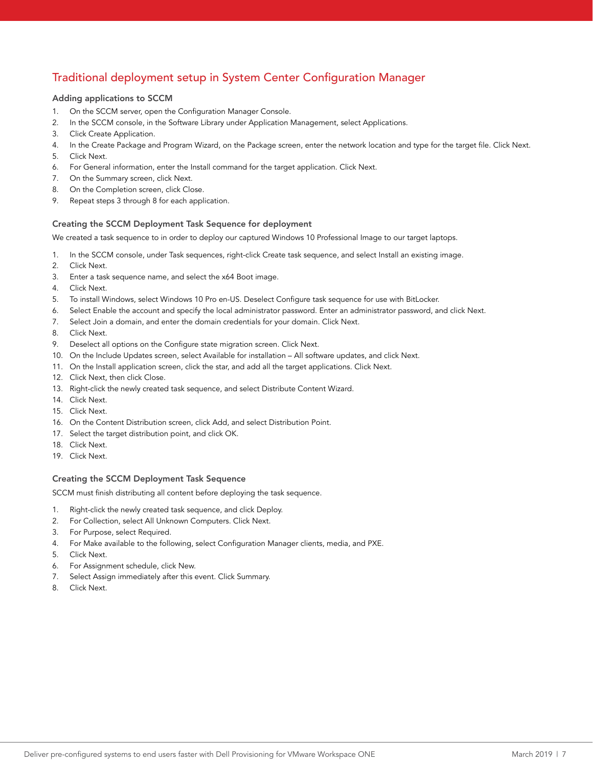## Traditional deployment setup in System Center Configuration Manager

### Adding applications to SCCM

- 1. On the SCCM server, open the Configuration Manager Console.
- 2. In the SCCM console, in the Software Library under Application Management, select Applications.
- 3. Click Create Application.
- 4. In the Create Package and Program Wizard, on the Package screen, enter the network location and type for the target file. Click Next.
- 5. Click Next.
- 6. For General information, enter the Install command for the target application. Click Next.
- 7. On the Summary screen, click Next.
- 8. On the Completion screen, click Close.
- 9. Repeat steps 3 through 8 for each application.

### Creating the SCCM Deployment Task Sequence for deployment

We created a task sequence to in order to deploy our captured Windows 10 Professional Image to our target laptops.

- 1. In the SCCM console, under Task sequences, right-click Create task sequence, and select Install an existing image.
- 2. Click Next.
- 3. Enter a task sequence name, and select the x64 Boot image.
- 4. Click Next.
- 5. To install Windows, select Windows 10 Pro en-US. Deselect Configure task sequence for use with BitLocker.
- 6. Select Enable the account and specify the local administrator password. Enter an administrator password, and click Next.
- 7. Select Join a domain, and enter the domain credentials for your domain. Click Next.
- 8. Click Next.
- 9. Deselect all options on the Configure state migration screen. Click Next.
- 10. On the Include Updates screen, select Available for installation All software updates, and click Next.
- 11. On the Install application screen, click the star, and add all the target applications. Click Next.
- 12. Click Next, then click Close.
- 13. Right-click the newly created task sequence, and select Distribute Content Wizard.
- 14. Click Next.
- 15. Click Next.
- 16. On the Content Distribution screen, click Add, and select Distribution Point.
- 17. Select the target distribution point, and click OK.
- 18. Click Next.
- 19. Click Next.

#### Creating the SCCM Deployment Task Sequence

SCCM must finish distributing all content before deploying the task sequence.

- 1. Right-click the newly created task sequence, and click Deploy.
- 2. For Collection, select All Unknown Computers. Click Next.
- 3. For Purpose, select Required.
- 4. For Make available to the following, select Configuration Manager clients, media, and PXE.
- 5. Click Next.
- 6. For Assignment schedule, click New.
- 7. Select Assign immediately after this event. Click Summary.
- 8. Click Next.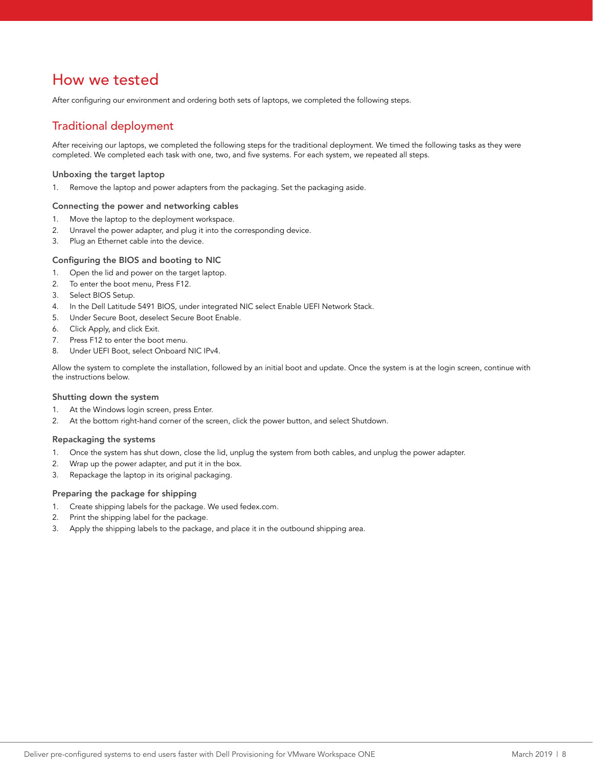## How we tested

After configuring our environment and ordering both sets of laptops, we completed the following steps.

### Traditional deployment

After receiving our laptops, we completed the following steps for the traditional deployment. We timed the following tasks as they were completed. We completed each task with one, two, and five systems. For each system, we repeated all steps.

#### Unboxing the target laptop

1. Remove the laptop and power adapters from the packaging. Set the packaging aside.

#### Connecting the power and networking cables

- 1. Move the laptop to the deployment workspace.
- 2. Unravel the power adapter, and plug it into the corresponding device.
- 3. Plug an Ethernet cable into the device.

#### Configuring the BIOS and booting to NIC

- 1. Open the lid and power on the target laptop.
- 2. To enter the boot menu, Press F12.
- 3. Select BIOS Setup.
- 4. In the Dell Latitude 5491 BIOS, under integrated NIC select Enable UEFI Network Stack.
- 5. Under Secure Boot, deselect Secure Boot Enable.
- 6. Click Apply, and click Exit.
- 7. Press F12 to enter the boot menu.
- 8. Under UEFI Boot, select Onboard NIC IPv4.

Allow the system to complete the installation, followed by an initial boot and update. Once the system is at the login screen, continue with the instructions below.

#### Shutting down the system

- 1. At the Windows login screen, press Enter.
- 2. At the bottom right-hand corner of the screen, click the power button, and select Shutdown.

#### Repackaging the systems

- 1. Once the system has shut down, close the lid, unplug the system from both cables, and unplug the power adapter.
- 2. Wrap up the power adapter, and put it in the box.
- 3. Repackage the laptop in its original packaging.

### Preparing the package for shipping

- 1. Create shipping labels for the package. We used fedex.com.
- 2. Print the shipping label for the package.
- 3. Apply the shipping labels to the package, and place it in the outbound shipping area.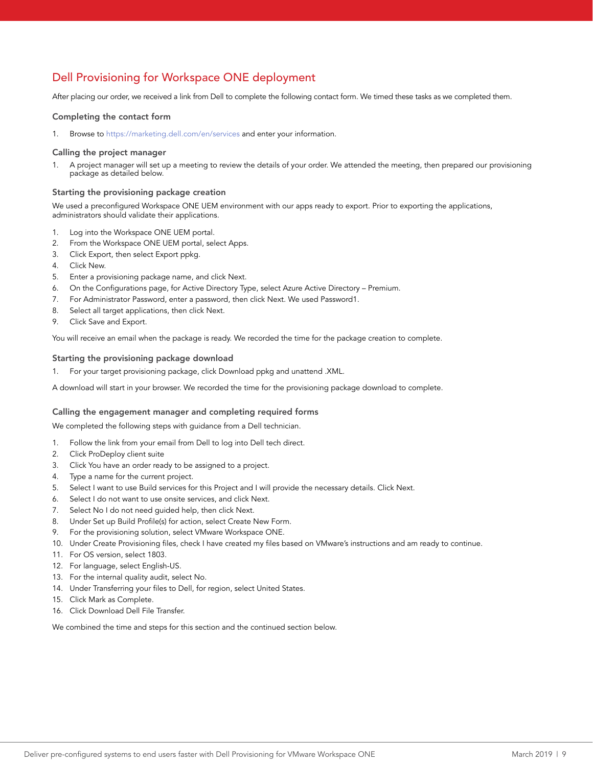## Dell Provisioning for Workspace ONE deployment

After placing our order, we received a link from Dell to complete the following contact form. We timed these tasks as we completed them.

#### Completing the contact form

1. Browse to <https://marketing.dell.com/en/services>and enter your information.

#### Calling the project manager

1. A project manager will set up a meeting to review the details of your order. We attended the meeting, then prepared our provisioning package as detailed below.

#### Starting the provisioning package creation

We used a preconfigured Workspace ONE UEM environment with our apps ready to export. Prior to exporting the applications, administrators should validate their applications.

- 1. Log into the Workspace ONE UEM portal.
- 2. From the Workspace ONE UEM portal, select Apps.
- 3. Click Export, then select Export ppkg.
- 4. Click New.
- 5. Enter a provisioning package name, and click Next.
- 6. On the Configurations page, for Active Directory Type, select Azure Active Directory Premium.
- 7. For Administrator Password, enter a password, then click Next. We used Password1.
- 8. Select all target applications, then click Next.
- 9. Click Save and Export.

You will receive an email when the package is ready. We recorded the time for the package creation to complete.

#### Starting the provisioning package download

1. For your target provisioning package, click Download ppkg and unattend .XML.

A download will start in your browser. We recorded the time for the provisioning package download to complete.

#### Calling the engagement manager and completing required forms

We completed the following steps with guidance from a Dell technician.

- 1. Follow the link from your email from Dell to log into Dell tech direct.
- 2. Click ProDeploy client suite
- 3. Click You have an order ready to be assigned to a project.
- 4. Type a name for the current project.
- 5. Select I want to use Build services for this Project and I will provide the necessary details. Click Next.
- 6. Select I do not want to use onsite services, and click Next.
- 7. Select No I do not need guided help, then click Next.
- 8. Under Set up Build Profile(s) for action, select Create New Form.
- 9. For the provisioning solution, select VMware Workspace ONE.
- 10. Under Create Provisioning files, check I have created my files based on VMware's instructions and am ready to continue.
- 11. For OS version, select 1803.
- 12. For language, select English-US.
- 13. For the internal quality audit, select No.
- 14. Under Transferring your files to Dell, for region, select United States.
- 15. Click Mark as Complete.
- 16. Click Download Dell File Transfer.

We combined the time and steps for this section and the continued section below.